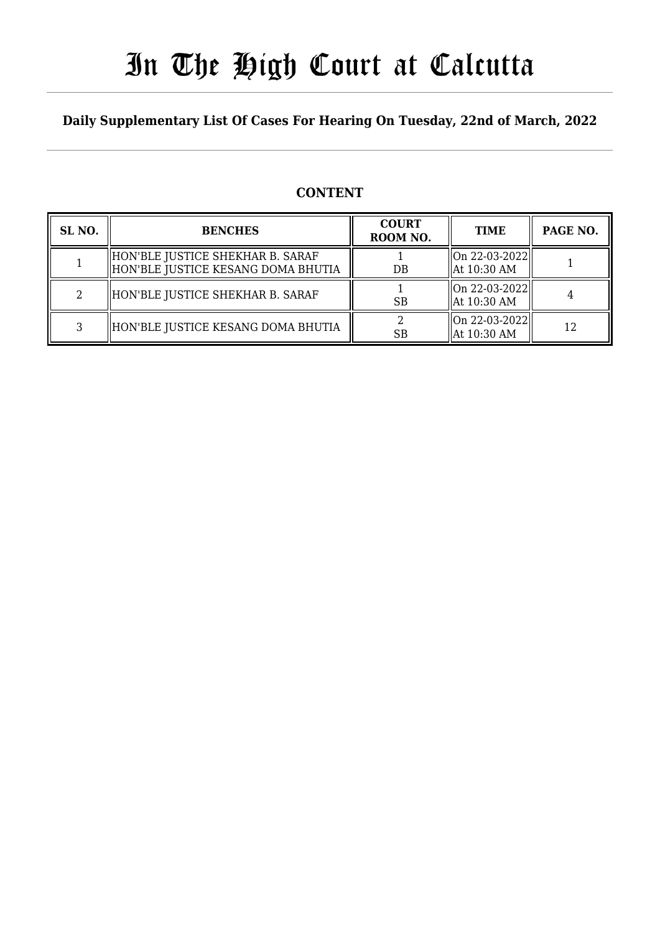### In The High Court at Calcutta

### **Daily Supplementary List Of Cases For Hearing On Tuesday, 22nd of March, 2022**

### **CONTENT**

| SL <sub>NO</sub> . | <b>BENCHES</b>                                                           | <b>COURT</b><br>ROOM NO. | <b>TIME</b>                                    | PAGE NO. |
|--------------------|--------------------------------------------------------------------------|--------------------------|------------------------------------------------|----------|
|                    | HON'BLE JUSTICE SHEKHAR B. SARAF<br>  HON'BLE JUSTICE KESANG DOMA BHUTIA | DB                       | $\vert$ On 22-03-2022 $\vert$<br>  At 10:30 AM |          |
|                    | HON'BLE JUSTICE SHEKHAR B. SARAF                                         | <b>SB</b>                | On 22-03-2022  <br>  At 10:30 AM               |          |
|                    | HON'BLE JUSTICE KESANG DOMA BHUTIA                                       | <b>SB</b>                | On 22-03-2022  <br>  At 10:30 AM               | 12       |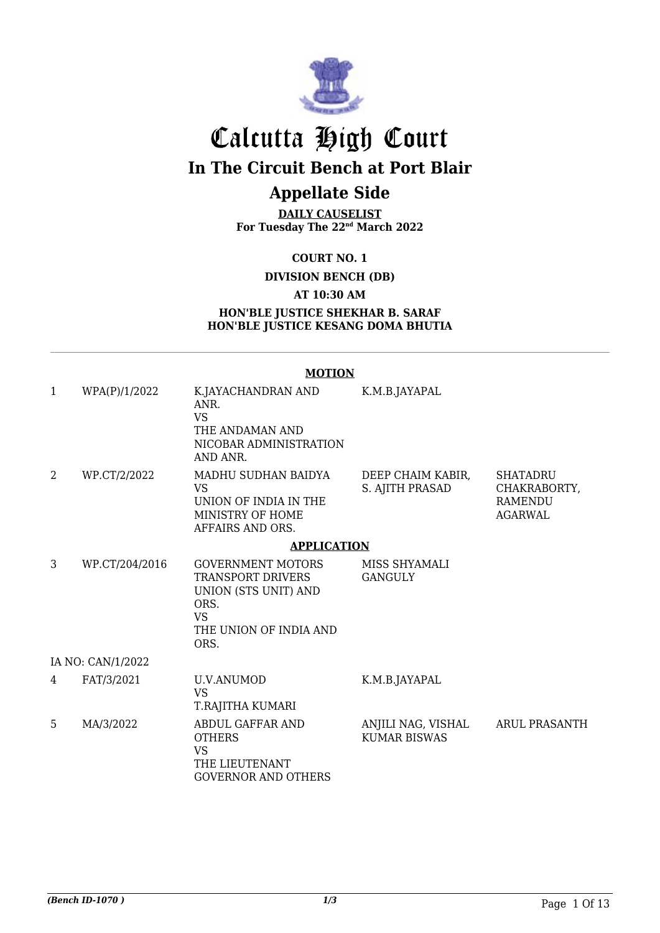

## Calcutta High Court

**In The Circuit Bench at Port Blair**

### **Appellate Side**

**DAILY CAUSELIST For Tuesday The 22nd March 2022**

**COURT NO. 1**

**DIVISION BENCH (DB)**

**AT 10:30 AM**

#### **HON'BLE JUSTICE SHEKHAR B. SARAF HON'BLE JUSTICE KESANG DOMA BHUTIA**

### **MOTION**

| $\mathbf{1}$   | WPA(P)/1/2022     | K.JAYACHANDRAN AND<br>ANR.<br><b>VS</b><br>THE ANDAMAN AND<br>NICOBAR ADMINISTRATION<br>AND ANR.                                    | K.M.B.JAYAPAL                             |                                                                     |
|----------------|-------------------|-------------------------------------------------------------------------------------------------------------------------------------|-------------------------------------------|---------------------------------------------------------------------|
| $\overline{2}$ | WP.CT/2/2022      | MADHU SUDHAN BAIDYA<br><b>VS</b><br>UNION OF INDIA IN THE<br>MINISTRY OF HOME<br>AFFAIRS AND ORS.                                   | DEEP CHAIM KABIR,<br>S. AJITH PRASAD      | <b>SHATADRU</b><br>CHAKRABORTY,<br><b>RAMENDU</b><br><b>AGARWAL</b> |
|                |                   | <b>APPLICATION</b>                                                                                                                  |                                           |                                                                     |
| 3              | WP.CT/204/2016    | <b>GOVERNMENT MOTORS</b><br><b>TRANSPORT DRIVERS</b><br>UNION (STS UNIT) AND<br>ORS.<br><b>VS</b><br>THE UNION OF INDIA AND<br>ORS. | MISS SHYAMALI<br><b>GANGULY</b>           |                                                                     |
|                | IA NO: CAN/1/2022 |                                                                                                                                     |                                           |                                                                     |
| 4              | FAT/3/2021        | U.V.ANUMOD<br><b>VS</b><br>T.RAJITHA KUMARI                                                                                         | K.M.B.JAYAPAL                             |                                                                     |
| 5              | MA/3/2022         | <b>ABDUL GAFFAR AND</b><br><b>OTHERS</b><br><b>VS</b><br>THE LIEUTENANT<br><b>GOVERNOR AND OTHERS</b>                               | ANJILI NAG, VISHAL<br><b>KUMAR BISWAS</b> | <b>ARUL PRASANTH</b>                                                |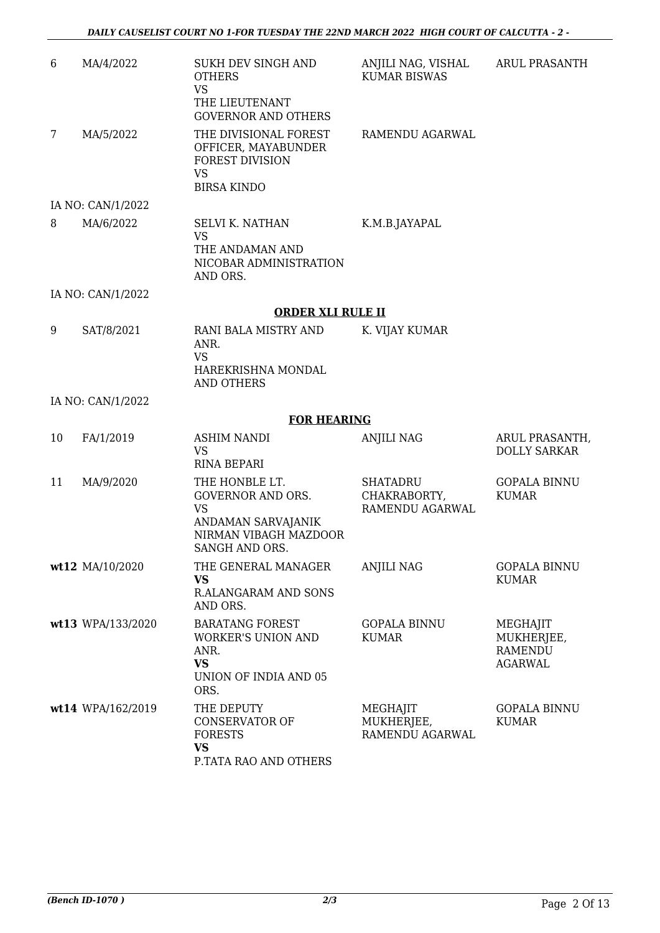| 6  | MA/4/2022         | <b>SUKH DEV SINGH AND</b><br><b>OTHERS</b><br><b>VS</b><br>THE LIEUTENANT<br><b>GOVERNOR AND OTHERS</b>                  | ANJILI NAG, VISHAL<br><b>KUMAR BISWAS</b>          | <b>ARUL PRASANTH</b>                                       |
|----|-------------------|--------------------------------------------------------------------------------------------------------------------------|----------------------------------------------------|------------------------------------------------------------|
| 7  | MA/5/2022         | THE DIVISIONAL FOREST<br>OFFICER, MAYABUNDER<br><b>FOREST DIVISION</b><br><b>VS</b><br><b>BIRSA KINDO</b>                | RAMENDU AGARWAL                                    |                                                            |
|    | IA NO: CAN/1/2022 |                                                                                                                          |                                                    |                                                            |
| 8  | MA/6/2022         | <b>SELVI K. NATHAN</b><br><b>VS</b><br>THE ANDAMAN AND<br>NICOBAR ADMINISTRATION<br>AND ORS.                             | K.M.B.JAYAPAL                                      |                                                            |
|    | IA NO: CAN/1/2022 |                                                                                                                          |                                                    |                                                            |
|    |                   | <b>ORDER XLI RULE II</b>                                                                                                 |                                                    |                                                            |
| 9  | SAT/8/2021        | RANI BALA MISTRY AND<br>ANR.<br><b>VS</b><br>HAREKRISHNA MONDAL<br><b>AND OTHERS</b>                                     | K. VIJAY KUMAR                                     |                                                            |
|    | IA NO: CAN/1/2022 |                                                                                                                          |                                                    |                                                            |
|    |                   | <b>FOR HEARING</b>                                                                                                       |                                                    |                                                            |
| 10 | FA/1/2019         | <b>ASHIM NANDI</b><br><b>VS</b><br><b>RINA BEPARI</b>                                                                    | <b>ANJILI NAG</b>                                  | ARUL PRASANTH,<br><b>DOLLY SARKAR</b>                      |
| 11 | MA/9/2020         | THE HONBLE LT.<br><b>GOVERNOR AND ORS.</b><br><b>VS</b><br>ANDAMAN SARVAJANIK<br>NIRMAN VIBAGH MAZDOOR<br>SANGH AND ORS. | <b>SHATADRU</b><br>CHAKRABORTY,<br>RAMENDU AGARWAL | <b>GOPALA BINNU</b><br><b>KUMAR</b>                        |
|    | wt12 MA/10/2020   | THE GENERAL MANAGER<br><b>VS</b><br>R.ALANGARAM AND SONS<br>AND ORS.                                                     | <b>ANJILI NAG</b>                                  | <b>GOPALA BINNU</b><br><b>KUMAR</b>                        |
|    | wt13 WPA/133/2020 | <b>BARATANG FOREST</b><br><b>WORKER'S UNION AND</b><br>ANR.<br><b>VS</b><br>UNION OF INDIA AND 05<br>ORS.                | <b>GOPALA BINNU</b><br><b>KUMAR</b>                | MEGHAJIT<br>MUKHERJEE,<br><b>RAMENDU</b><br><b>AGARWAL</b> |
|    | wt14 WPA/162/2019 | THE DEPUTY<br><b>CONSERVATOR OF</b><br><b>FORESTS</b><br><b>VS</b><br>P.TATA RAO AND OTHERS                              | MEGHAJIT<br>MUKHERJEE,<br>RAMENDU AGARWAL          | <b>GOPALA BINNU</b><br><b>KUMAR</b>                        |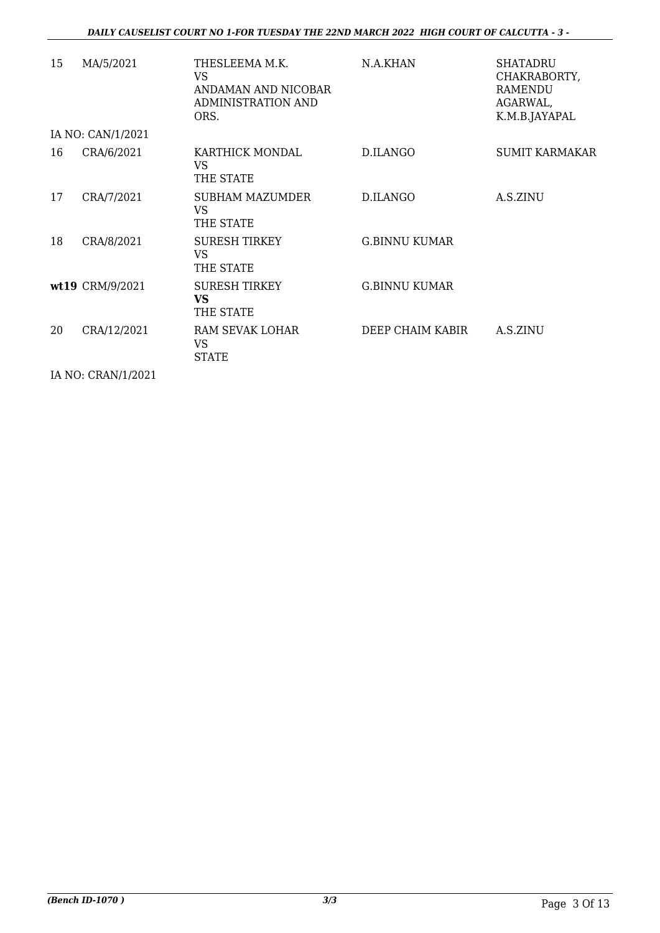| 15 | MA/5/2021         | THESLEEMA M.K.<br><b>VS</b><br>ANDAMAN AND NICOBAR<br>ADMINISTRATION AND<br>ORS. | N.A.KHAN             | <b>SHATADRU</b><br>CHAKRABORTY,<br><b>RAMENDU</b><br>AGARWAL,<br>K.M.B.JAYAPAL |  |  |  |
|----|-------------------|----------------------------------------------------------------------------------|----------------------|--------------------------------------------------------------------------------|--|--|--|
|    | IA NO: CAN/1/2021 |                                                                                  |                      |                                                                                |  |  |  |
| 16 | CRA/6/2021        | KARTHICK MONDAL<br><b>VS</b><br>THE STATE                                        | D.ILANGO             | <b>SUMIT KARMAKAR</b>                                                          |  |  |  |
| 17 | CRA/7/2021        | SUBHAM MAZUMDER<br>VS<br>THE STATE                                               | D.ILANGO             | A.S.ZINU                                                                       |  |  |  |
| 18 | CRA/8/2021        | <b>SURESH TIRKEY</b><br><b>VS</b><br>THE STATE                                   | <b>G.BINNU KUMAR</b> |                                                                                |  |  |  |
|    | wt19 CRM/9/2021   | <b>SURESH TIRKEY</b><br><b>VS</b><br>THE STATE                                   | <b>G.BINNU KUMAR</b> |                                                                                |  |  |  |
| 20 | CRA/12/2021       | RAM SEVAK LOHAR<br><b>VS</b><br><b>STATE</b>                                     | DEEP CHAIM KABIR     | A.S.ZINU                                                                       |  |  |  |

IA NO: CRAN/1/2021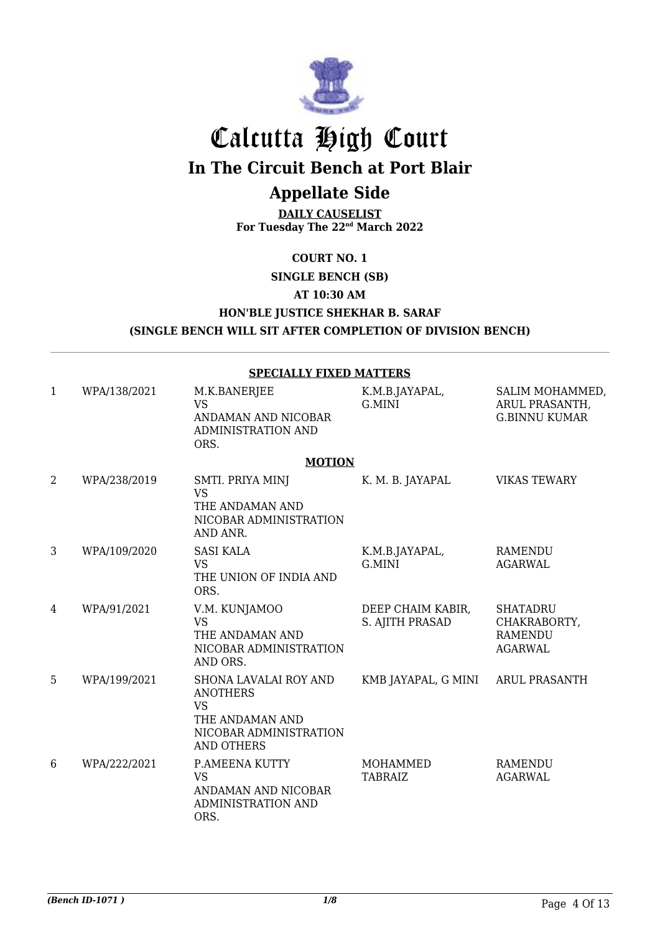

# Calcutta High Court

**In The Circuit Bench at Port Blair**

### **Appellate Side**

**DAILY CAUSELIST For Tuesday The 22nd March 2022**

### **COURT NO. 1**

**SINGLE BENCH (SB) AT 10:30 AM HON'BLE JUSTICE SHEKHAR B. SARAF (SINGLE BENCH WILL SIT AFTER COMPLETION OF DIVISION BENCH)**

#### **SPECIALLY FIXED MATTERS**

| 1              | WPA/138/2021 | M.K.BANERJEE<br><b>VS</b><br>ANDAMAN AND NICOBAR<br><b>ADMINISTRATION AND</b><br>ORS.                                          | K.M.B.JAYAPAL,<br>G.MINI             | SALIM MOHAMMED,<br>ARUL PRASANTH,<br><b>G.BINNU KUMAR</b>           |
|----------------|--------------|--------------------------------------------------------------------------------------------------------------------------------|--------------------------------------|---------------------------------------------------------------------|
|                |              | <b>MOTION</b>                                                                                                                  |                                      |                                                                     |
| $\overline{2}$ | WPA/238/2019 | SMTI. PRIYA MINJ<br><b>VS</b><br>THE ANDAMAN AND<br>NICOBAR ADMINISTRATION<br>AND ANR.                                         | K. M. B. JAYAPAL                     | <b>VIKAS TEWARY</b>                                                 |
| 3              | WPA/109/2020 | <b>SASI KALA</b><br><b>VS</b><br>THE UNION OF INDIA AND<br>ORS.                                                                | K.M.B.JAYAPAL,<br>G.MINI             | <b>RAMENDU</b><br><b>AGARWAL</b>                                    |
| 4              | WPA/91/2021  | V.M. KUNJAMOO<br><b>VS</b><br>THE ANDAMAN AND<br>NICOBAR ADMINISTRATION<br>AND ORS.                                            | DEEP CHAIM KABIR,<br>S. AJITH PRASAD | <b>SHATADRU</b><br>CHAKRABORTY,<br><b>RAMENDU</b><br><b>AGARWAL</b> |
| 5              | WPA/199/2021 | <b>SHONA LAVALAI ROY AND</b><br><b>ANOTHERS</b><br><b>VS</b><br>THE ANDAMAN AND<br>NICOBAR ADMINISTRATION<br><b>AND OTHERS</b> | KMB JAYAPAL, G MINI                  | <b>ARUL PRASANTH</b>                                                |
| 6              | WPA/222/2021 | P.AMEENA KUTTY<br><b>VS</b><br>ANDAMAN AND NICOBAR<br>ADMINISTRATION AND<br>ORS.                                               | <b>MOHAMMED</b><br><b>TABRAIZ</b>    | <b>RAMENDU</b><br><b>AGARWAL</b>                                    |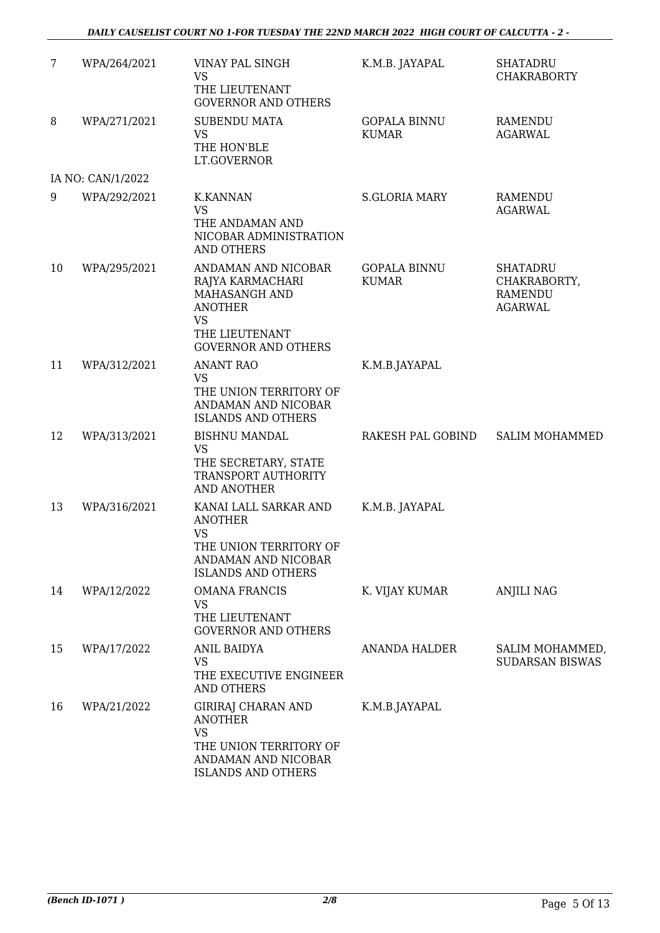| 7  | WPA/264/2021      | VINAY PAL SINGH<br><b>VS</b><br>THE LIEUTENANT<br><b>GOVERNOR AND OTHERS</b>                                                            | K.M.B. JAYAPAL                      | <b>SHATADRU</b><br><b>CHAKRABORTY</b>                               |
|----|-------------------|-----------------------------------------------------------------------------------------------------------------------------------------|-------------------------------------|---------------------------------------------------------------------|
| 8  | WPA/271/2021      | <b>SUBENDU MATA</b><br><b>VS</b><br>THE HON'BLE<br>LT.GOVERNOR                                                                          | <b>GOPALA BINNU</b><br><b>KUMAR</b> | <b>RAMENDU</b><br><b>AGARWAL</b>                                    |
|    | IA NO: CAN/1/2022 |                                                                                                                                         |                                     |                                                                     |
| 9  | WPA/292/2021      | <b>K.KANNAN</b><br><b>VS</b><br>THE ANDAMAN AND<br>NICOBAR ADMINISTRATION<br><b>AND OTHERS</b>                                          | <b>S.GLORIA MARY</b>                | <b>RAMENDU</b><br><b>AGARWAL</b>                                    |
| 10 | WPA/295/2021      | ANDAMAN AND NICOBAR<br>RAJYA KARMACHARI<br>MAHASANGH AND<br><b>ANOTHER</b><br><b>VS</b><br>THE LIEUTENANT<br><b>GOVERNOR AND OTHERS</b> | <b>GOPALA BINNU</b><br><b>KUMAR</b> | <b>SHATADRU</b><br>CHAKRABORTY,<br><b>RAMENDU</b><br><b>AGARWAL</b> |
| 11 | WPA/312/2021      | <b>ANANT RAO</b><br><b>VS</b><br>THE UNION TERRITORY OF<br>ANDAMAN AND NICOBAR<br><b>ISLANDS AND OTHERS</b>                             | K.M.B.JAYAPAL                       |                                                                     |
| 12 | WPA/313/2021      | <b>BISHNU MANDAL</b><br><b>VS</b><br>THE SECRETARY, STATE<br>TRANSPORT AUTHORITY<br>AND ANOTHER                                         | RAKESH PAL GOBIND                   | <b>SALIM MOHAMMED</b>                                               |
| 13 | WPA/316/2021      | KANAI LALL SARKAR AND<br><b>ANOTHER</b><br><b>VS</b><br>THE UNION TERRITORY OF<br>ANDAMAN AND NICOBAR<br><b>ISLANDS AND OTHERS</b>      | K.M.B. JAYAPAL                      |                                                                     |
| 14 | WPA/12/2022       | <b>OMANA FRANCIS</b><br><b>VS</b><br>THE LIEUTENANT<br><b>GOVERNOR AND OTHERS</b>                                                       | K. VIJAY KUMAR                      | <b>ANJILI NAG</b>                                                   |
| 15 | WPA/17/2022       | ANIL BAIDYA<br><b>VS</b><br>THE EXECUTIVE ENGINEER<br>AND OTHERS                                                                        | <b>ANANDA HALDER</b>                | SALIM MOHAMMED,<br><b>SUDARSAN BISWAS</b>                           |
| 16 | WPA/21/2022       | GIRIRAJ CHARAN AND<br><b>ANOTHER</b><br><b>VS</b><br>THE UNION TERRITORY OF<br>ANDAMAN AND NICOBAR<br><b>ISLANDS AND OTHERS</b>         | K.M.B.JAYAPAL                       |                                                                     |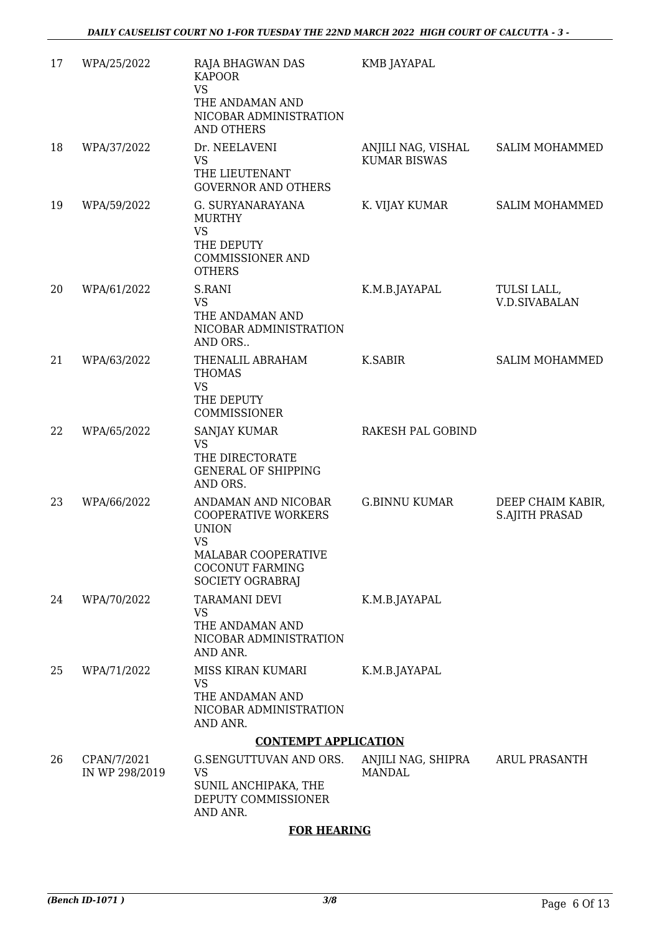| 17 | WPA/25/2022                   | RAJA BHAGWAN DAS<br><b>KAPOOR</b><br><b>VS</b><br>THE ANDAMAN AND<br>NICOBAR ADMINISTRATION<br>AND OTHERS                                           | KMB JAYAPAL                               |                                            |
|----|-------------------------------|-----------------------------------------------------------------------------------------------------------------------------------------------------|-------------------------------------------|--------------------------------------------|
| 18 | WPA/37/2022                   | Dr. NEELAVENI<br><b>VS</b><br>THE LIEUTENANT<br><b>GOVERNOR AND OTHERS</b>                                                                          | ANJILI NAG, VISHAL<br><b>KUMAR BISWAS</b> | <b>SALIM MOHAMMED</b>                      |
| 19 | WPA/59/2022                   | G. SURYANARAYANA<br><b>MURTHY</b><br><b>VS</b><br>THE DEPUTY<br><b>COMMISSIONER AND</b><br><b>OTHERS</b>                                            | K. VIJAY KUMAR                            | <b>SALIM MOHAMMED</b>                      |
| 20 | WPA/61/2022                   | S.RANI<br><b>VS</b><br>THE ANDAMAN AND<br>NICOBAR ADMINISTRATION<br>AND ORS                                                                         | K.M.B.JAYAPAL                             | TULSI LALL,<br><b>V.D.SIVABALAN</b>        |
| 21 | WPA/63/2022                   | THENALIL ABRAHAM<br><b>THOMAS</b><br>VS<br>THE DEPUTY<br>COMMISSIONER                                                                               | K.SABIR                                   | <b>SALIM MOHAMMED</b>                      |
| 22 | WPA/65/2022                   | <b>SANJAY KUMAR</b><br>VS<br>THE DIRECTORATE<br><b>GENERAL OF SHIPPING</b><br>AND ORS.                                                              | RAKESH PAL GOBIND                         |                                            |
| 23 | WPA/66/2022                   | ANDAMAN AND NICOBAR<br><b>COOPERATIVE WORKERS</b><br><b>UNION</b><br><b>VS</b><br>MALABAR COOPERATIVE<br><b>COCONUT FARMING</b><br>SOCIETY OGRABRAJ | <b>G.BINNU KUMAR</b>                      | DEEP CHAIM KABIR,<br><b>S.AJITH PRASAD</b> |
| 24 | WPA/70/2022                   | <b>TARAMANI DEVI</b><br>VS<br>THE ANDAMAN AND<br>NICOBAR ADMINISTRATION<br>AND ANR.                                                                 | K.M.B.JAYAPAL                             |                                            |
| 25 | WPA/71/2022                   | MISS KIRAN KUMARI<br><b>VS</b><br>THE ANDAMAN AND<br>NICOBAR ADMINISTRATION<br>AND ANR.                                                             | K.M.B.JAYAPAL                             |                                            |
|    |                               | <b>CONTEMPT APPLICATION</b>                                                                                                                         |                                           |                                            |
| 26 | CPAN/7/2021<br>IN WP 298/2019 | G.SENGUTTUVAN AND ORS.<br><b>VS</b><br>SUNIL ANCHIPAKA, THE<br>DEPUTY COMMISSIONER<br>AND ANR.                                                      | ANJILI NAG, SHIPRA<br><b>MANDAL</b>       | <b>ARUL PRASANTH</b>                       |

### **FOR HEARING**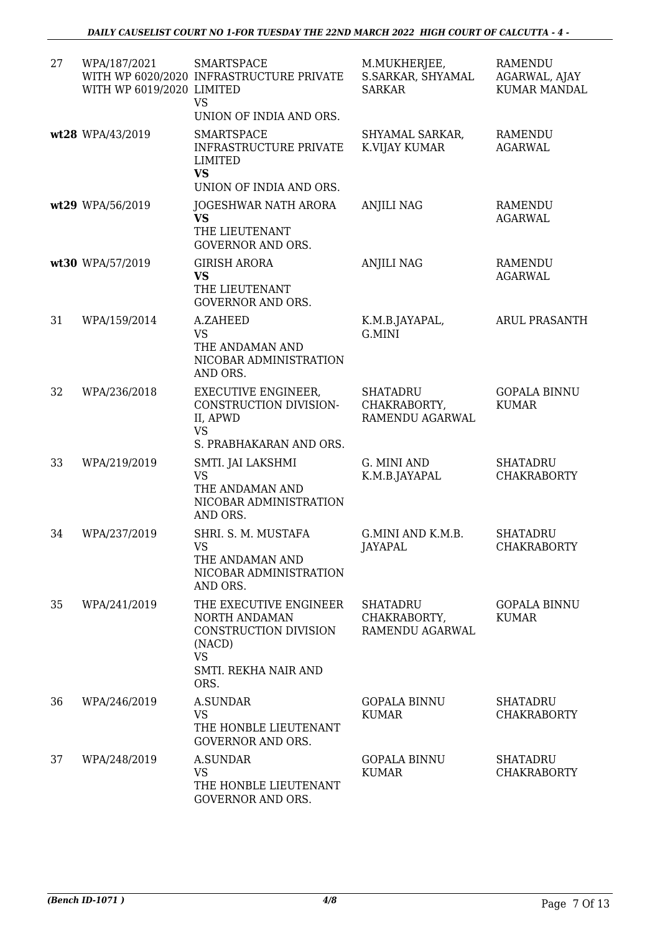| 27 | WPA/187/2021<br>WITH WP 6019/2020 LIMITED | <b>SMARTSPACE</b><br>WITH WP 6020/2020 INFRASTRUCTURE PRIVATE<br><b>VS</b><br>UNION OF INDIA AND ORS.                   | M.MUKHERJEE,<br>S.SARKAR, SHYAMAL<br><b>SARKAR</b> | RAMENDU<br>AGARWAL, AJAY<br><b>KUMAR MANDAL</b> |
|----|-------------------------------------------|-------------------------------------------------------------------------------------------------------------------------|----------------------------------------------------|-------------------------------------------------|
|    | wt28 WPA/43/2019                          | <b>SMARTSPACE</b><br>INFRASTRUCTURE PRIVATE<br><b>LIMITED</b><br><b>VS</b><br>UNION OF INDIA AND ORS.                   | SHYAMAL SARKAR,<br>K.VIJAY KUMAR                   | <b>RAMENDU</b><br><b>AGARWAL</b>                |
|    | wt29 WPA/56/2019                          | JOGESHWAR NATH ARORA<br><b>VS</b><br>THE LIEUTENANT<br><b>GOVERNOR AND ORS.</b>                                         | <b>ANJILI NAG</b>                                  | <b>RAMENDU</b><br><b>AGARWAL</b>                |
|    | wt30 WPA/57/2019                          | <b>GIRISH ARORA</b><br><b>VS</b><br>THE LIEUTENANT<br><b>GOVERNOR AND ORS.</b>                                          | <b>ANJILI NAG</b>                                  | <b>RAMENDU</b><br><b>AGARWAL</b>                |
| 31 | WPA/159/2014                              | A.ZAHEED<br><b>VS</b><br>THE ANDAMAN AND<br>NICOBAR ADMINISTRATION<br>AND ORS.                                          | K.M.B.JAYAPAL,<br>G.MINI                           | <b>ARUL PRASANTH</b>                            |
| 32 | WPA/236/2018                              | <b>EXECUTIVE ENGINEER,</b><br>CONSTRUCTION DIVISION-<br>II, APWD<br><b>VS</b><br>S. PRABHAKARAN AND ORS.                | <b>SHATADRU</b><br>CHAKRABORTY,<br>RAMENDU AGARWAL | <b>GOPALA BINNU</b><br><b>KUMAR</b>             |
| 33 | WPA/219/2019                              | SMTI. JAI LAKSHMI<br><b>VS</b><br>THE ANDAMAN AND<br>NICOBAR ADMINISTRATION<br>AND ORS.                                 | G. MINI AND<br>K.M.B.JAYAPAL                       | <b>SHATADRU</b><br><b>CHAKRABORTY</b>           |
| 34 | WPA/237/2019                              | SHRI. S. M. MUSTAFA<br>VS.<br>THE ANDAMAN AND<br>NICOBAR ADMINISTRATION<br>AND ORS.                                     | G.MINI AND K.M.B.<br>JAYAPAL                       | <b>SHATADRU</b><br><b>CHAKRABORTY</b>           |
| 35 | WPA/241/2019                              | THE EXECUTIVE ENGINEER<br>NORTH ANDAMAN<br>CONSTRUCTION DIVISION<br>(NACD)<br><b>VS</b><br>SMTI. REKHA NAIR AND<br>ORS. | <b>SHATADRU</b><br>CHAKRABORTY,<br>RAMENDU AGARWAL | <b>GOPALA BINNU</b><br>KUMAR                    |
| 36 | WPA/246/2019                              | <b>A.SUNDAR</b><br><b>VS</b><br>THE HONBLE LIEUTENANT<br><b>GOVERNOR AND ORS.</b>                                       | <b>GOPALA BINNU</b><br><b>KUMAR</b>                | <b>SHATADRU</b><br><b>CHAKRABORTY</b>           |
| 37 | WPA/248/2019                              | A.SUNDAR<br><b>VS</b><br>THE HONBLE LIEUTENANT<br><b>GOVERNOR AND ORS.</b>                                              | <b>GOPALA BINNU</b><br><b>KUMAR</b>                | <b>SHATADRU</b><br><b>CHAKRABORTY</b>           |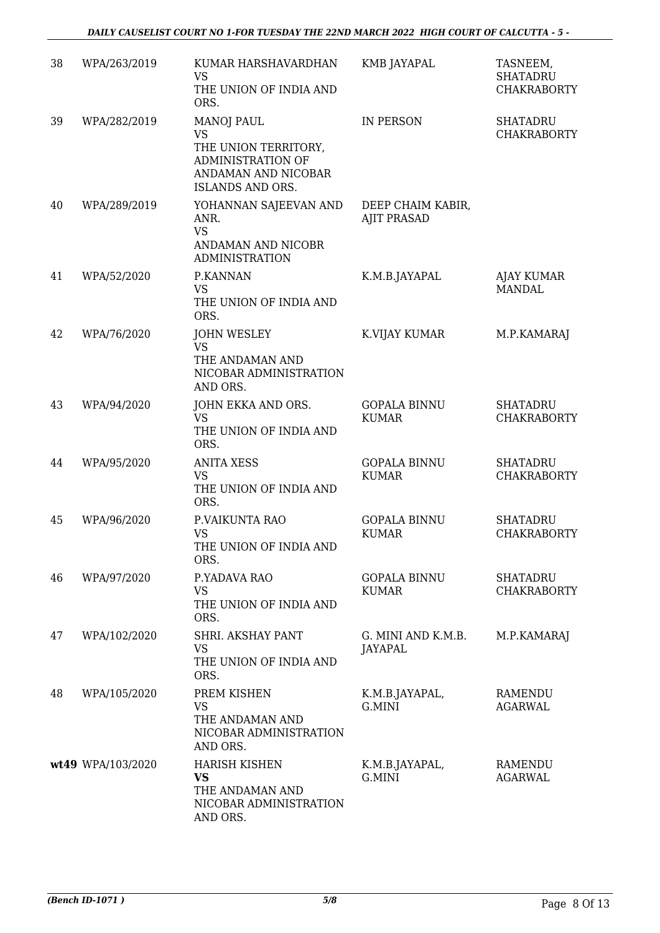| 38 | WPA/263/2019      | KUMAR HARSHAVARDHAN<br><b>VS</b><br>THE UNION OF INDIA AND<br>ORS.                                                     | KMB JAYAPAL                             | TASNEEM,<br><b>SHATADRU</b><br><b>CHAKRABORTY</b> |
|----|-------------------|------------------------------------------------------------------------------------------------------------------------|-----------------------------------------|---------------------------------------------------|
| 39 | WPA/282/2019      | <b>MANOJ PAUL</b><br>VS<br>THE UNION TERRITORY,<br><b>ADMINISTRATION OF</b><br>ANDAMAN AND NICOBAR<br>ISLANDS AND ORS. | IN PERSON                               | <b>SHATADRU</b><br><b>CHAKRABORTY</b>             |
| 40 | WPA/289/2019      | YOHANNAN SAJEEVAN AND<br>ANR.<br><b>VS</b><br>ANDAMAN AND NICOBR<br><b>ADMINISTRATION</b>                              | DEEP CHAIM KABIR,<br><b>AJIT PRASAD</b> |                                                   |
| 41 | WPA/52/2020       | P.KANNAN<br><b>VS</b><br>THE UNION OF INDIA AND<br>ORS.                                                                | K.M.B.JAYAPAL                           | <b>AJAY KUMAR</b><br><b>MANDAL</b>                |
| 42 | WPA/76/2020       | <b>JOHN WESLEY</b><br>VS<br>THE ANDAMAN AND<br>NICOBAR ADMINISTRATION<br>AND ORS.                                      | K.VIJAY KUMAR                           | M.P.KAMARAJ                                       |
| 43 | WPA/94/2020       | JOHN EKKA AND ORS.<br><b>VS</b><br>THE UNION OF INDIA AND<br>ORS.                                                      | <b>GOPALA BINNU</b><br><b>KUMAR</b>     | <b>SHATADRU</b><br><b>CHAKRABORTY</b>             |
| 44 | WPA/95/2020       | <b>ANITA XESS</b><br><b>VS</b><br>THE UNION OF INDIA AND<br>ORS.                                                       | <b>GOPALA BINNU</b><br><b>KUMAR</b>     | <b>SHATADRU</b><br><b>CHAKRABORTY</b>             |
| 45 | WPA/96/2020       | P.VAIKUNTA RAO<br><b>VS</b><br>THE UNION OF INDIA AND<br>ORS.                                                          | <b>GOPALA BINNU</b><br><b>KUMAR</b>     | <b>SHATADRU</b><br><b>CHAKRABORTY</b>             |
| 46 | WPA/97/2020       | P.YADAVA RAO<br><b>VS</b><br>THE UNION OF INDIA AND<br>ORS.                                                            | <b>GOPALA BINNU</b><br><b>KUMAR</b>     | <b>SHATADRU</b><br><b>CHAKRABORTY</b>             |
| 47 | WPA/102/2020      | SHRI. AKSHAY PANT<br><b>VS</b><br>THE UNION OF INDIA AND<br>ORS.                                                       | G. MINI AND K.M.B.<br>JAYAPAL           | M.P.KAMARAJ                                       |
| 48 | WPA/105/2020      | PREM KISHEN<br><b>VS</b><br>THE ANDAMAN AND<br>NICOBAR ADMINISTRATION<br>AND ORS.                                      | K.M.B.JAYAPAL,<br>G.MINI                | RAMENDU<br><b>AGARWAL</b>                         |
|    | wt49 WPA/103/2020 | <b>HARISH KISHEN</b><br><b>VS</b><br>THE ANDAMAN AND<br>NICOBAR ADMINISTRATION<br>AND ORS.                             | K.M.B.JAYAPAL,<br>G.MINI                | RAMENDU<br><b>AGARWAL</b>                         |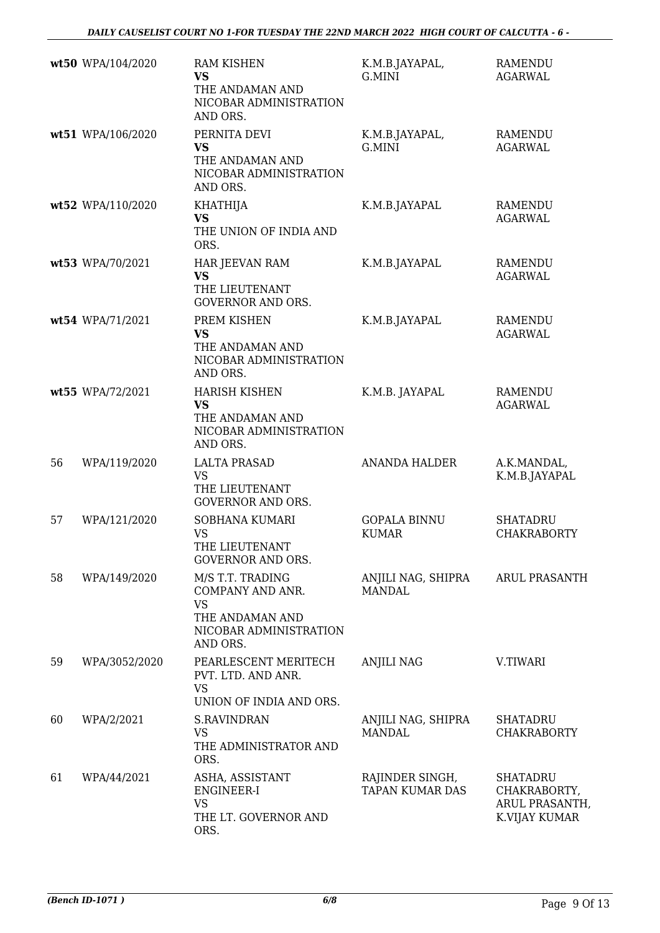|    | wt50 WPA/104/2020 | <b>RAM KISHEN</b><br><b>VS</b><br>THE ANDAMAN AND<br>NICOBAR ADMINISTRATION<br>AND ORS.                    | K.M.B.JAYAPAL,<br>G.MINI                  | <b>RAMENDU</b><br><b>AGARWAL</b>                                   |
|----|-------------------|------------------------------------------------------------------------------------------------------------|-------------------------------------------|--------------------------------------------------------------------|
|    | wt51 WPA/106/2020 | PERNITA DEVI<br><b>VS</b><br>THE ANDAMAN AND<br>NICOBAR ADMINISTRATION<br>AND ORS.                         | K.M.B.JAYAPAL,<br>G.MINI                  | <b>RAMENDU</b><br><b>AGARWAL</b>                                   |
|    | wt52 WPA/110/2020 | <b>KHATHIJA</b><br><b>VS</b><br>THE UNION OF INDIA AND<br>ORS.                                             | K.M.B.JAYAPAL                             | <b>RAMENDU</b><br><b>AGARWAL</b>                                   |
|    | wt53 WPA/70/2021  | HAR JEEVAN RAM<br><b>VS</b><br>THE LIEUTENANT<br><b>GOVERNOR AND ORS.</b>                                  | K.M.B.JAYAPAL                             | RAMENDU<br><b>AGARWAL</b>                                          |
|    | wt54 WPA/71/2021  | PREM KISHEN<br><b>VS</b><br>THE ANDAMAN AND<br>NICOBAR ADMINISTRATION<br>AND ORS.                          | K.M.B.JAYAPAL                             | RAMENDU<br><b>AGARWAL</b>                                          |
|    | wt55 WPA/72/2021  | <b>HARISH KISHEN</b><br><b>VS</b><br>THE ANDAMAN AND<br>NICOBAR ADMINISTRATION<br>AND ORS.                 | K.M.B. JAYAPAL                            | <b>RAMENDU</b><br><b>AGARWAL</b>                                   |
| 56 | WPA/119/2020      | <b>LALTA PRASAD</b><br><b>VS</b><br>THE LIEUTENANT<br><b>GOVERNOR AND ORS.</b>                             | <b>ANANDA HALDER</b>                      | A.K.MANDAL,<br>K.M.B.JAYAPAL                                       |
| 57 | WPA/121/2020      | SOBHANA KUMARI<br><b>VS</b><br>THE LIEUTENANT<br><b>GOVERNOR AND ORS.</b>                                  | <b>GOPALA BINNU</b><br><b>KUMAR</b>       | <b>SHATADRU</b><br><b>CHAKRABORTY</b>                              |
| 58 | WPA/149/2020      | M/S T.T. TRADING<br>COMPANY AND ANR.<br><b>VS</b><br>THE ANDAMAN AND<br>NICOBAR ADMINISTRATION<br>AND ORS. | ANJILI NAG, SHIPRA<br><b>MANDAL</b>       | ARUL PRASANTH                                                      |
| 59 | WPA/3052/2020     | PEARLESCENT MERITECH<br>PVT. LTD. AND ANR.<br><b>VS</b><br>UNION OF INDIA AND ORS.                         | <b>ANJILI NAG</b>                         | V.TIWARI                                                           |
| 60 | WPA/2/2021        | <b>S.RAVINDRAN</b><br><b>VS</b><br>THE ADMINISTRATOR AND<br>ORS.                                           | ANJILI NAG, SHIPRA<br>MANDAL              | <b>SHATADRU</b><br><b>CHAKRABORTY</b>                              |
| 61 | WPA/44/2021       | ASHA, ASSISTANT<br>ENGINEER-I<br><b>VS</b><br>THE LT. GOVERNOR AND<br>ORS.                                 | RAJINDER SINGH,<br><b>TAPAN KUMAR DAS</b> | <b>SHATADRU</b><br>CHAKRABORTY,<br>ARUL PRASANTH,<br>K.VIJAY KUMAR |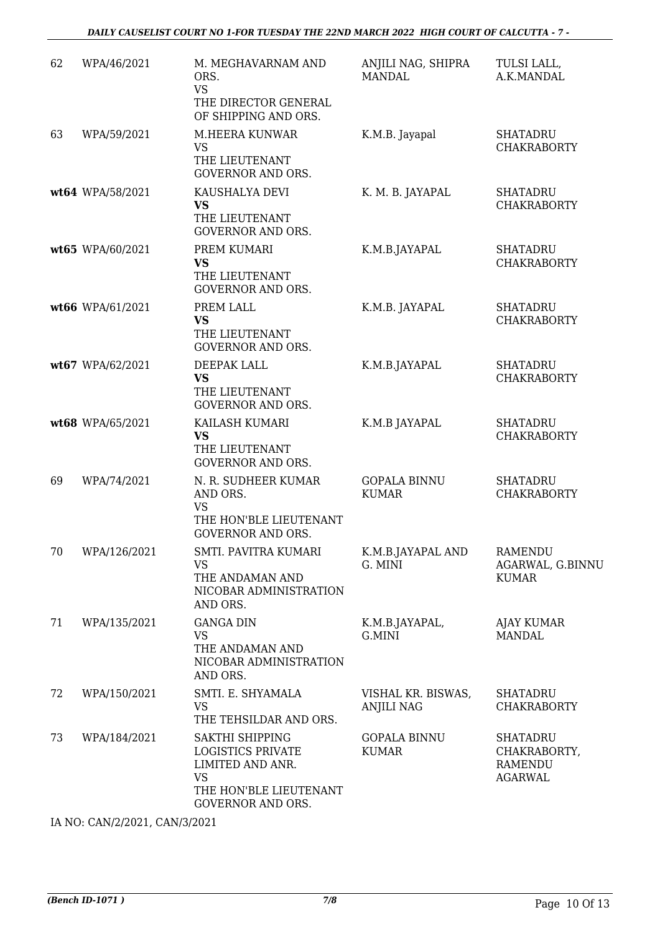| 62 | WPA/46/2021      | M. MEGHAVARNAM AND<br>ORS.<br><b>VS</b><br>THE DIRECTOR GENERAL<br>OF SHIPPING AND ORS.                                            | ANJILI NAG, SHIPRA<br><b>MANDAL</b>     | TULSI LALL,<br>A.K.MANDAL                                    |
|----|------------------|------------------------------------------------------------------------------------------------------------------------------------|-----------------------------------------|--------------------------------------------------------------|
| 63 | WPA/59/2021      | M.HEERA KUNWAR<br><b>VS</b><br>THE LIEUTENANT<br><b>GOVERNOR AND ORS.</b>                                                          | K.M.B. Jayapal                          | <b>SHATADRU</b><br><b>CHAKRABORTY</b>                        |
|    | wt64 WPA/58/2021 | KAUSHALYA DEVI<br><b>VS</b><br>THE LIEUTENANT<br><b>GOVERNOR AND ORS.</b>                                                          | K. M. B. JAYAPAL                        | <b>SHATADRU</b><br><b>CHAKRABORTY</b>                        |
|    | wt65 WPA/60/2021 | PREM KUMARI<br><b>VS</b><br>THE LIEUTENANT<br><b>GOVERNOR AND ORS.</b>                                                             | K.M.B.JAYAPAL                           | <b>SHATADRU</b><br><b>CHAKRABORTY</b>                        |
|    | wt66 WPA/61/2021 | PREM LALL<br><b>VS</b><br>THE LIEUTENANT<br><b>GOVERNOR AND ORS.</b>                                                               | K.M.B. JAYAPAL                          | <b>SHATADRU</b><br><b>CHAKRABORTY</b>                        |
|    | wt67 WPA/62/2021 | DEEPAK LALL<br><b>VS</b><br>THE LIEUTENANT<br><b>GOVERNOR AND ORS.</b>                                                             | K.M.B.JAYAPAL                           | <b>SHATADRU</b><br><b>CHAKRABORTY</b>                        |
|    | wt68 WPA/65/2021 | KAILASH KUMARI<br><b>VS</b><br>THE LIEUTENANT<br><b>GOVERNOR AND ORS.</b>                                                          | K.M.B JAYAPAL                           | <b>SHATADRU</b><br><b>CHAKRABORTY</b>                        |
| 69 | WPA/74/2021      | N. R. SUDHEER KUMAR<br>AND ORS.<br><b>VS</b><br>THE HON'BLE LIEUTENANT<br><b>GOVERNOR AND ORS.</b>                                 | <b>GOPALA BINNU</b><br><b>KUMAR</b>     | <b>SHATADRU</b><br><b>CHAKRABORTY</b>                        |
| 70 | WPA/126/2021     | SMTI. PAVITRA KUMARI<br><b>VS</b><br>THE ANDAMAN AND<br>NICOBAR ADMINISTRATION<br>AND ORS.                                         | K.M.B.JAYAPAL AND<br>G. MINI            | <b>RAMENDU</b><br>AGARWAL, G.BINNU<br><b>KUMAR</b>           |
| 71 | WPA/135/2021     | <b>GANGA DIN</b><br><b>VS</b><br>THE ANDAMAN AND<br>NICOBAR ADMINISTRATION<br>AND ORS.                                             | K.M.B.JAYAPAL,<br>G.MINI                | AJAY KUMAR<br><b>MANDAL</b>                                  |
| 72 | WPA/150/2021     | SMTI. E. SHYAMALA<br><b>VS</b><br>THE TEHSILDAR AND ORS.                                                                           | VISHAL KR. BISWAS,<br><b>ANJILI NAG</b> | <b>SHATADRU</b><br><b>CHAKRABORTY</b>                        |
| 73 | WPA/184/2021     | SAKTHI SHIPPING<br><b>LOGISTICS PRIVATE</b><br>LIMITED AND ANR.<br><b>VS</b><br>THE HON'BLE LIEUTENANT<br><b>GOVERNOR AND ORS.</b> | <b>GOPALA BINNU</b><br><b>KUMAR</b>     | <b>SHATADRU</b><br>CHAKRABORTY,<br><b>RAMENDU</b><br>AGARWAL |

IA NO: CAN/2/2021, CAN/3/2021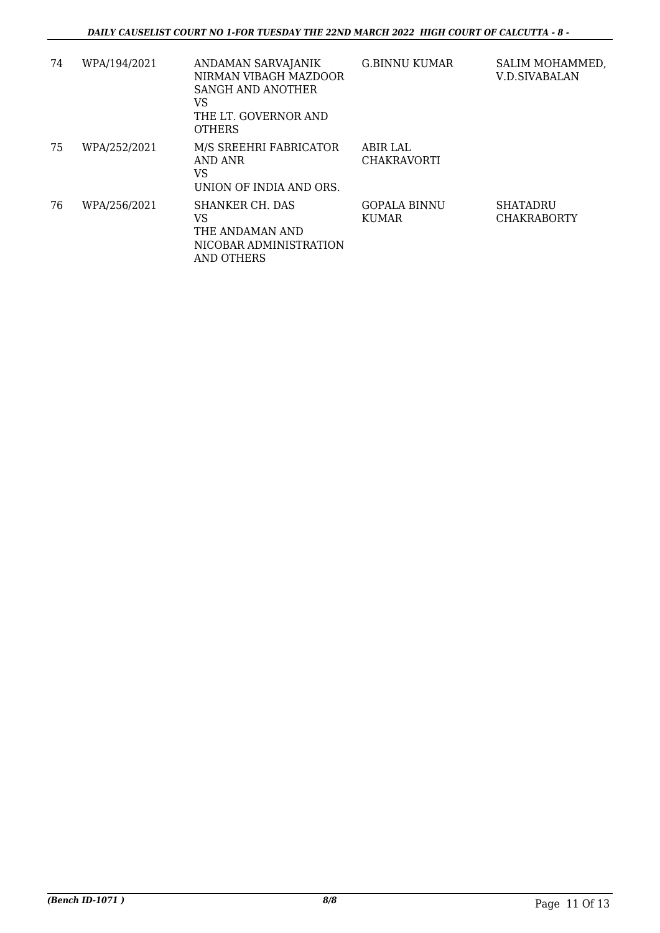| 74 | WPA/194/2021 | ANDAMAN SARVAJANIK<br>NIRMAN VIBAGH MAZDOOR<br>SANGH AND ANOTHER<br>VS<br>THE LT. GOVERNOR AND | G.BINNU KUMAR                       | SALIM MOHAMMED,<br><b>V.D.SIVABALAN</b> |
|----|--------------|------------------------------------------------------------------------------------------------|-------------------------------------|-----------------------------------------|
| 75 | WPA/252/2021 | <b>OTHERS</b><br>M/S SREEHRI FABRICATOR<br>AND ANR<br>VS<br>UNION OF INDIA AND ORS.            | ABIR LAL<br><b>CHAKRAVORTI</b>      |                                         |
| 76 | WPA/256/2021 | SHANKER CH. DAS<br>VS<br>THE ANDAMAN AND<br>NICOBAR ADMINISTRATION<br>AND OTHERS               | <b>GOPALA BINNU</b><br><b>KUMAR</b> | <b>SHATADRU</b><br><b>CHAKRABORTY</b>   |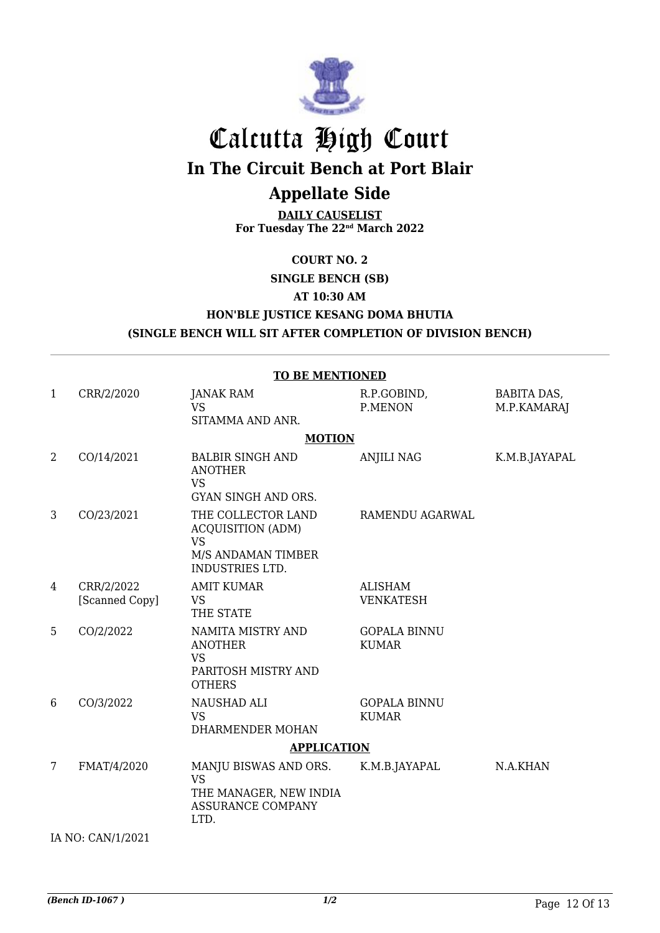

### Calcutta High Court **In The Circuit Bench at Port Blair Appellate Side**

**DAILY CAUSELIST For Tuesday The 22nd March 2022**

**COURT NO. 2**

**SINGLE BENCH (SB)**

**AT 10:30 AM**

**HON'BLE JUSTICE KESANG DOMA BHUTIA**

**(SINGLE BENCH WILL SIT AFTER COMPLETION OF DIVISION BENCH)**

| <b>TO BE MENTIONED</b> |                              |                                                                                                      |                                     |                                   |  |  |  |
|------------------------|------------------------------|------------------------------------------------------------------------------------------------------|-------------------------------------|-----------------------------------|--|--|--|
| $\mathbf{1}$           | CRR/2/2020                   | <b>JANAK RAM</b><br><b>VS</b><br>SITAMMA AND ANR.                                                    | R.P.GOBIND,<br>P.MENON              | <b>BABITA DAS,</b><br>M.P.KAMARAJ |  |  |  |
| <b>MOTION</b>          |                              |                                                                                                      |                                     |                                   |  |  |  |
| 2                      | CO/14/2021                   | <b>BALBIR SINGH AND</b><br><b>ANOTHER</b><br><b>VS</b><br>GYAN SINGH AND ORS.                        | <b>ANJILI NAG</b>                   | K.M.B.JAYAPAL                     |  |  |  |
| 3                      | CO/23/2021                   | THE COLLECTOR LAND<br><b>ACQUISITION (ADM)</b><br><b>VS</b><br>M/S ANDAMAN TIMBER<br>INDUSTRIES LTD. | RAMENDU AGARWAL                     |                                   |  |  |  |
| $\overline{4}$         | CRR/2/2022<br>[Scanned Copy] | <b>AMIT KUMAR</b><br><b>VS</b><br>THE STATE                                                          | <b>ALISHAM</b><br><b>VENKATESH</b>  |                                   |  |  |  |
| 5                      | CO/2/2022                    | NAMITA MISTRY AND<br><b>ANOTHER</b><br><b>VS</b><br>PARITOSH MISTRY AND<br><b>OTHERS</b>             | <b>GOPALA BINNU</b><br><b>KUMAR</b> |                                   |  |  |  |
| 6                      | CO/3/2022                    | NAUSHAD ALI<br><b>VS</b><br>DHARMENDER MOHAN                                                         | <b>GOPALA BINNU</b><br><b>KUMAR</b> |                                   |  |  |  |
| <b>APPLICATION</b>     |                              |                                                                                                      |                                     |                                   |  |  |  |
| 7                      | FMAT/4/2020                  | MANJU BISWAS AND ORS.<br><b>VS</b><br>THE MANAGER, NEW INDIA<br><b>ASSURANCE COMPANY</b><br>LTD.     | K.M.B.JAYAPAL                       | N.A.KHAN                          |  |  |  |
| IA NO: CAN/1/2021      |                              |                                                                                                      |                                     |                                   |  |  |  |

*(Bench ID-1067 ) 1/2* Page 12 Of 13